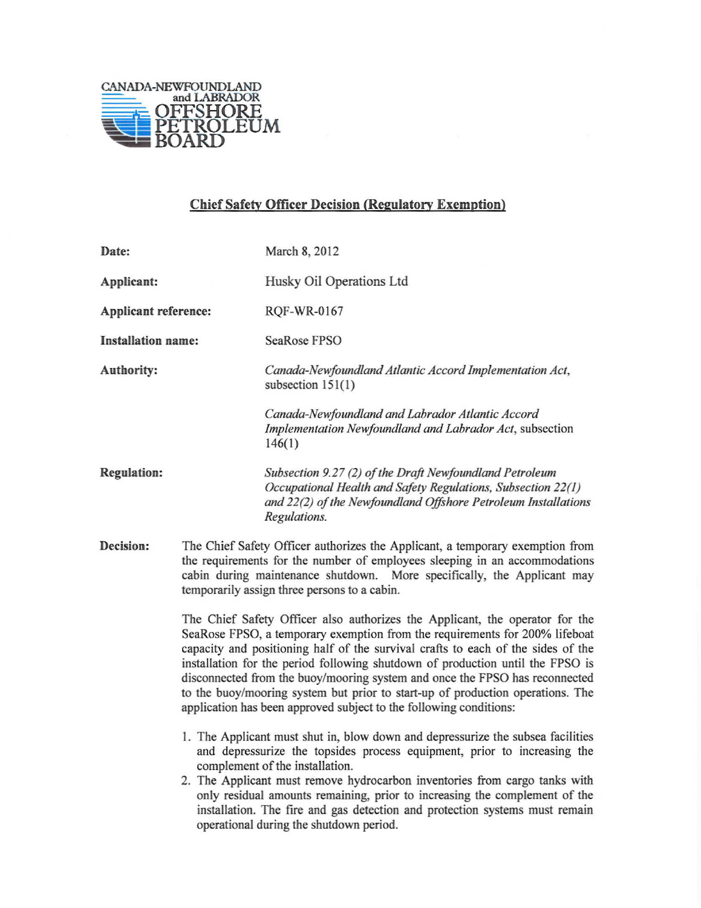

## Chief Safety Officer Decision (Regulatory Exemption)

| Date:                     |                                                                                                                                                                                                                                                                                                                                                                                                                                                                                                                                                                          | March 8, 2012                                                                                                                                                                                                                                                                                                                                                                                                                                                                        |
|---------------------------|--------------------------------------------------------------------------------------------------------------------------------------------------------------------------------------------------------------------------------------------------------------------------------------------------------------------------------------------------------------------------------------------------------------------------------------------------------------------------------------------------------------------------------------------------------------------------|--------------------------------------------------------------------------------------------------------------------------------------------------------------------------------------------------------------------------------------------------------------------------------------------------------------------------------------------------------------------------------------------------------------------------------------------------------------------------------------|
| Applicant:                |                                                                                                                                                                                                                                                                                                                                                                                                                                                                                                                                                                          | Husky Oil Operations Ltd                                                                                                                                                                                                                                                                                                                                                                                                                                                             |
| Applicant reference:      |                                                                                                                                                                                                                                                                                                                                                                                                                                                                                                                                                                          | <b>RQF-WR-0167</b>                                                                                                                                                                                                                                                                                                                                                                                                                                                                   |
| <b>Installation name:</b> |                                                                                                                                                                                                                                                                                                                                                                                                                                                                                                                                                                          | <b>SeaRose FPSO</b>                                                                                                                                                                                                                                                                                                                                                                                                                                                                  |
| Authority:                |                                                                                                                                                                                                                                                                                                                                                                                                                                                                                                                                                                          | Canada-Newfoundland Atlantic Accord Implementation Act,<br>subsection $151(1)$                                                                                                                                                                                                                                                                                                                                                                                                       |
|                           |                                                                                                                                                                                                                                                                                                                                                                                                                                                                                                                                                                          | Canada-Newfoundland and Labrador Atlantic Accord<br>Implementation Newfoundland and Labrador Act, subsection<br>146(1)                                                                                                                                                                                                                                                                                                                                                               |
| <b>Regulation:</b>        |                                                                                                                                                                                                                                                                                                                                                                                                                                                                                                                                                                          | Subsection 9.27 (2) of the Draft Newfoundland Petroleum<br>Occupational Health and Safety Regulations, Subsection 22(1)<br>and 22(2) of the Newfoundland Offshore Petroleum Installations<br>Regulations.                                                                                                                                                                                                                                                                            |
| Decision:                 | The Chief Safety Officer authorizes the Applicant, a temporary exemption from<br>the requirements for the number of employees sleeping in an accommodations<br>cabin during maintenance shutdown. More specifically, the Applicant may<br>temporarily assign three persons to a cabin.                                                                                                                                                                                                                                                                                   |                                                                                                                                                                                                                                                                                                                                                                                                                                                                                      |
|                           | The Chief Safety Officer also authorizes the Applicant, the operator for the<br>SeaRose FPSO, a temporary exemption from the requirements for 200% lifeboat<br>capacity and positioning half of the survival crafts to each of the sides of the<br>installation for the period following shutdown of production until the FPSO is<br>disconnected from the buoy/mooring system and once the FPSO has reconnected<br>to the buoy/mooring system but prior to start-up of production operations. The<br>application has been approved subject to the following conditions: |                                                                                                                                                                                                                                                                                                                                                                                                                                                                                      |
|                           |                                                                                                                                                                                                                                                                                                                                                                                                                                                                                                                                                                          | 1. The Applicant must shut in, blow down and depressurize the subsea facilities<br>and depressurize the topsides process equipment, prior to increasing the<br>complement of the installation.<br>2. The Applicant must remove hydrocarbon inventories from cargo tanks with<br>only residual amounts remaining, prior to increasing the complement of the<br>installation. The fire and gas detection and protection systems must remain<br>operational during the shutdown period. |